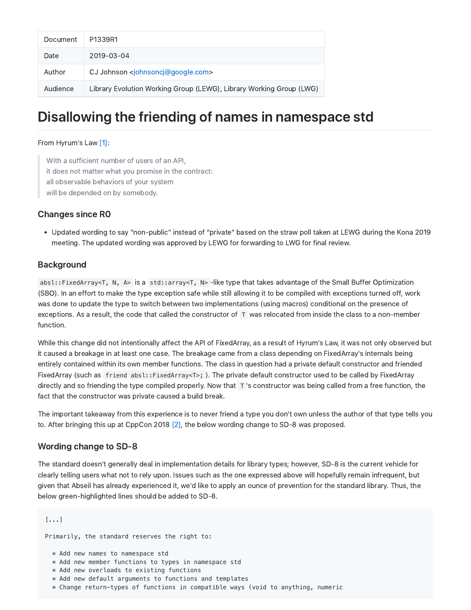| Document | P1339R1                                                             |
|----------|---------------------------------------------------------------------|
| Date     | 2019-03-04                                                          |
| Author   | CJ Johnson <iohnsonci@google.com></iohnsonci@google.com>            |
| Audience | Library Evolution Working Group (LEWG), Library Working Group (LWG) |

# Disallowing the friending of names in namespace std

#### From Hyrum's Law [1]:

With a sufficient number of users of an API, it does not matter what you promise in the contract: all observable behaviors of your system will be depended on by somebody.

## Changes since R0

Updated wording to say "non‑public" instead of "private" based on the straw poll taken at LEWG during the Kona 2019 meeting. The updated wording was approved by LEWG for forwarding to LWG for final review.

#### Background

absl::FixedArray<T, N, A> is a std::array<T, N> ‑like type that takes advantage of the Small Buffer Optimization (SBO). In an effort to make the type exception safe while still allowing it to be compiled with exceptions turned off, work was done to update the type to switch between two implementations (using macros) conditional on the presence of exceptions. As a result, the code that called the constructor of  $T$  was relocated from inside the class to a non-member function.

While this change did not intentionally affect the API of FixedArray, as a result of Hyrum's Law, it was not only observed but it caused a breakage in at least one case. The breakage came from a class depending on FixedArray's internals being entirely contained within its own member functions. The class in question had a private default constructor and friended FixedArray (such as friend absl::FixedArray<T>; ). The private default constructor used to be called by FixedArray directly and so friending the type compiled properly. Now that T 's constructor was being called from a free function, the fact that the constructor was private caused a build break.

The important takeaway from this experience is to never friend a type you don't own unless the author of that type tells you to. After bringing this up at CppCon 2018 [2], the below wording change to SD-8 was proposed.

## Wording change to SD‑8

The standard doesn't generally deal in implementation details for library types; however, SD‑8 is the current vehicle for clearly telling users what not to rely upon. Issues such as the one expressed above will hopefully remain infrequent, but given that Abseil has already experienced it, we'd like to apply an ounce of prevention for the standard library. Thus, the below green-highlighted lines should be added to SD-8.

#### [...]

Primarily, the standard reserves the right to:

- \* Add new names to namespace std
- \* Add new member functions to types in namespace std
- \* Add new overloads to existing functions
- \* Add new default arguments to functions and templates
- \* Change return-types of functions in compatible ways (void to anything, numeric